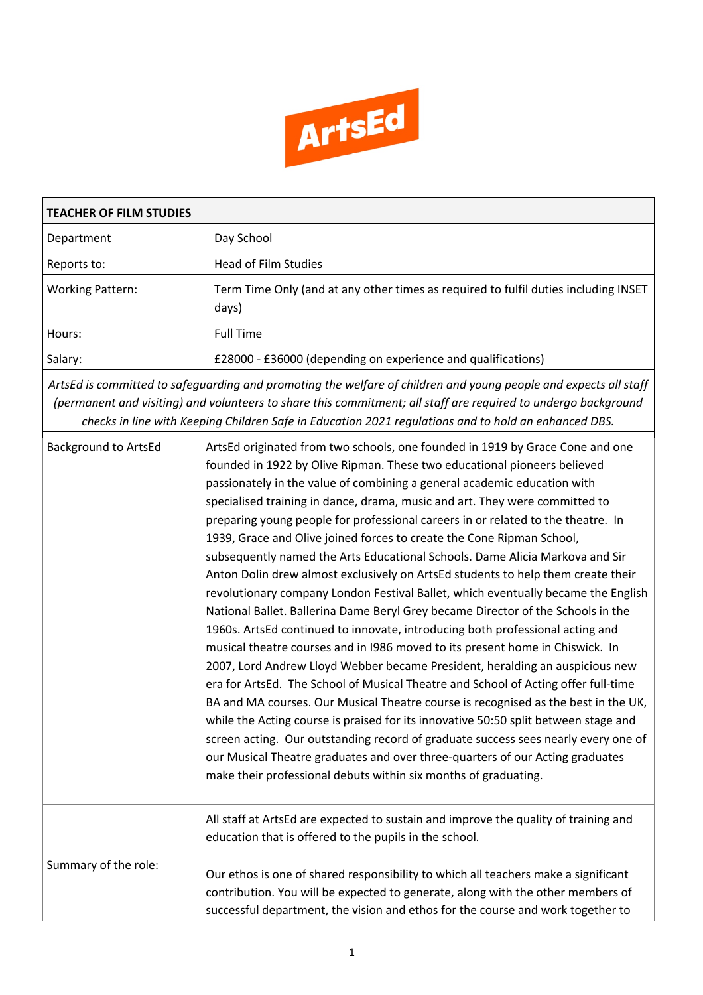

| <b>TEACHER OF FILM STUDIES</b> |                                                                                                                                                                                                                                                                                                                                                                                                                                                                                                                                                                                                                                                                                                                                                                                                                                                                                                                                                                                                                                                                                                                                                                                                                                                                                                                                                                                                                                                                                                                                                                                               |  |  |  |
|--------------------------------|-----------------------------------------------------------------------------------------------------------------------------------------------------------------------------------------------------------------------------------------------------------------------------------------------------------------------------------------------------------------------------------------------------------------------------------------------------------------------------------------------------------------------------------------------------------------------------------------------------------------------------------------------------------------------------------------------------------------------------------------------------------------------------------------------------------------------------------------------------------------------------------------------------------------------------------------------------------------------------------------------------------------------------------------------------------------------------------------------------------------------------------------------------------------------------------------------------------------------------------------------------------------------------------------------------------------------------------------------------------------------------------------------------------------------------------------------------------------------------------------------------------------------------------------------------------------------------------------------|--|--|--|
| Department                     | Day School                                                                                                                                                                                                                                                                                                                                                                                                                                                                                                                                                                                                                                                                                                                                                                                                                                                                                                                                                                                                                                                                                                                                                                                                                                                                                                                                                                                                                                                                                                                                                                                    |  |  |  |
| Reports to:                    | <b>Head of Film Studies</b>                                                                                                                                                                                                                                                                                                                                                                                                                                                                                                                                                                                                                                                                                                                                                                                                                                                                                                                                                                                                                                                                                                                                                                                                                                                                                                                                                                                                                                                                                                                                                                   |  |  |  |
| <b>Working Pattern:</b>        | Term Time Only (and at any other times as required to fulfil duties including INSET<br>days)                                                                                                                                                                                                                                                                                                                                                                                                                                                                                                                                                                                                                                                                                                                                                                                                                                                                                                                                                                                                                                                                                                                                                                                                                                                                                                                                                                                                                                                                                                  |  |  |  |
| Hours:                         | <b>Full Time</b>                                                                                                                                                                                                                                                                                                                                                                                                                                                                                                                                                                                                                                                                                                                                                                                                                                                                                                                                                                                                                                                                                                                                                                                                                                                                                                                                                                                                                                                                                                                                                                              |  |  |  |
| Salary:                        | £28000 - £36000 (depending on experience and qualifications)                                                                                                                                                                                                                                                                                                                                                                                                                                                                                                                                                                                                                                                                                                                                                                                                                                                                                                                                                                                                                                                                                                                                                                                                                                                                                                                                                                                                                                                                                                                                  |  |  |  |
|                                | ArtsEd is committed to safeguarding and promoting the welfare of children and young people and expects all staff<br>(permanent and visiting) and volunteers to share this commitment; all staff are required to undergo background<br>checks in line with Keeping Children Safe in Education 2021 regulations and to hold an enhanced DBS.                                                                                                                                                                                                                                                                                                                                                                                                                                                                                                                                                                                                                                                                                                                                                                                                                                                                                                                                                                                                                                                                                                                                                                                                                                                    |  |  |  |
| <b>Background to ArtsEd</b>    | ArtsEd originated from two schools, one founded in 1919 by Grace Cone and one<br>founded in 1922 by Olive Ripman. These two educational pioneers believed<br>passionately in the value of combining a general academic education with<br>specialised training in dance, drama, music and art. They were committed to<br>preparing young people for professional careers in or related to the theatre. In<br>1939, Grace and Olive joined forces to create the Cone Ripman School,<br>subsequently named the Arts Educational Schools. Dame Alicia Markova and Sir<br>Anton Dolin drew almost exclusively on ArtsEd students to help them create their<br>revolutionary company London Festival Ballet, which eventually became the English<br>National Ballet. Ballerina Dame Beryl Grey became Director of the Schools in the<br>1960s. ArtsEd continued to innovate, introducing both professional acting and<br>musical theatre courses and in 1986 moved to its present home in Chiswick. In<br>2007, Lord Andrew Lloyd Webber became President, heralding an auspicious new<br>era for ArtsEd. The School of Musical Theatre and School of Acting offer full-time<br>BA and MA courses. Our Musical Theatre course is recognised as the best in the UK,<br>while the Acting course is praised for its innovative 50:50 split between stage and<br>screen acting. Our outstanding record of graduate success sees nearly every one of<br>our Musical Theatre graduates and over three-quarters of our Acting graduates<br>make their professional debuts within six months of graduating. |  |  |  |
| Summary of the role:           | All staff at ArtsEd are expected to sustain and improve the quality of training and<br>education that is offered to the pupils in the school.<br>Our ethos is one of shared responsibility to which all teachers make a significant<br>contribution. You will be expected to generate, along with the other members of<br>successful department, the vision and ethos for the course and work together to                                                                                                                                                                                                                                                                                                                                                                                                                                                                                                                                                                                                                                                                                                                                                                                                                                                                                                                                                                                                                                                                                                                                                                                     |  |  |  |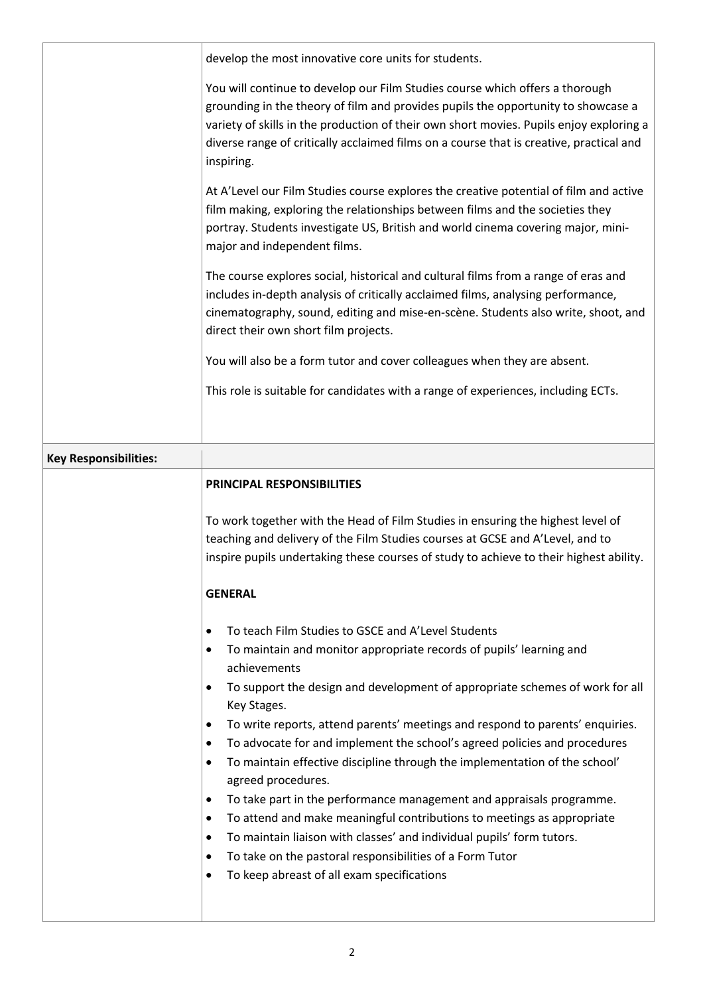|                              | develop the most innovative core units for students.                                                                                                                                                                                                                                                                                                                  |
|------------------------------|-----------------------------------------------------------------------------------------------------------------------------------------------------------------------------------------------------------------------------------------------------------------------------------------------------------------------------------------------------------------------|
|                              | You will continue to develop our Film Studies course which offers a thorough<br>grounding in the theory of film and provides pupils the opportunity to showcase a<br>variety of skills in the production of their own short movies. Pupils enjoy exploring a<br>diverse range of critically acclaimed films on a course that is creative, practical and<br>inspiring. |
|                              | At A'Level our Film Studies course explores the creative potential of film and active<br>film making, exploring the relationships between films and the societies they<br>portray. Students investigate US, British and world cinema covering major, mini-<br>major and independent films.                                                                            |
|                              | The course explores social, historical and cultural films from a range of eras and<br>includes in-depth analysis of critically acclaimed films, analysing performance,<br>cinematography, sound, editing and mise-en-scène. Students also write, shoot, and<br>direct their own short film projects.                                                                  |
|                              | You will also be a form tutor and cover colleagues when they are absent.                                                                                                                                                                                                                                                                                              |
|                              | This role is suitable for candidates with a range of experiences, including ECTs.                                                                                                                                                                                                                                                                                     |
| <b>Key Responsibilities:</b> |                                                                                                                                                                                                                                                                                                                                                                       |
|                              |                                                                                                                                                                                                                                                                                                                                                                       |
|                              | <b>PRINCIPAL RESPONSIBILITIES</b>                                                                                                                                                                                                                                                                                                                                     |
|                              |                                                                                                                                                                                                                                                                                                                                                                       |
|                              | To work together with the Head of Film Studies in ensuring the highest level of                                                                                                                                                                                                                                                                                       |
|                              | teaching and delivery of the Film Studies courses at GCSE and A'Level, and to                                                                                                                                                                                                                                                                                         |
|                              | inspire pupils undertaking these courses of study to achieve to their highest ability.                                                                                                                                                                                                                                                                                |
|                              | <b>GENERAL</b>                                                                                                                                                                                                                                                                                                                                                        |
|                              | $\bullet$                                                                                                                                                                                                                                                                                                                                                             |
|                              | To teach Film Studies to GSCE and A'Level Students<br>To maintain and monitor appropriate records of pupils' learning and<br>٠<br>achievements                                                                                                                                                                                                                        |
|                              | To support the design and development of appropriate schemes of work for all<br>$\bullet$<br>Key Stages.                                                                                                                                                                                                                                                              |
|                              | To write reports, attend parents' meetings and respond to parents' enquiries.<br>$\bullet$<br>To advocate for and implement the school's agreed policies and procedures<br>$\bullet$<br>To maintain effective discipline through the implementation of the school'<br>$\bullet$<br>agreed procedures.                                                                 |
|                              | To take part in the performance management and appraisals programme.<br>$\bullet$                                                                                                                                                                                                                                                                                     |
|                              | To attend and make meaningful contributions to meetings as appropriate<br>٠                                                                                                                                                                                                                                                                                           |
|                              | To maintain liaison with classes' and individual pupils' form tutors.<br>$\bullet$                                                                                                                                                                                                                                                                                    |
|                              | To take on the pastoral responsibilities of a Form Tutor<br>٠<br>To keep abreast of all exam specifications<br>٠                                                                                                                                                                                                                                                      |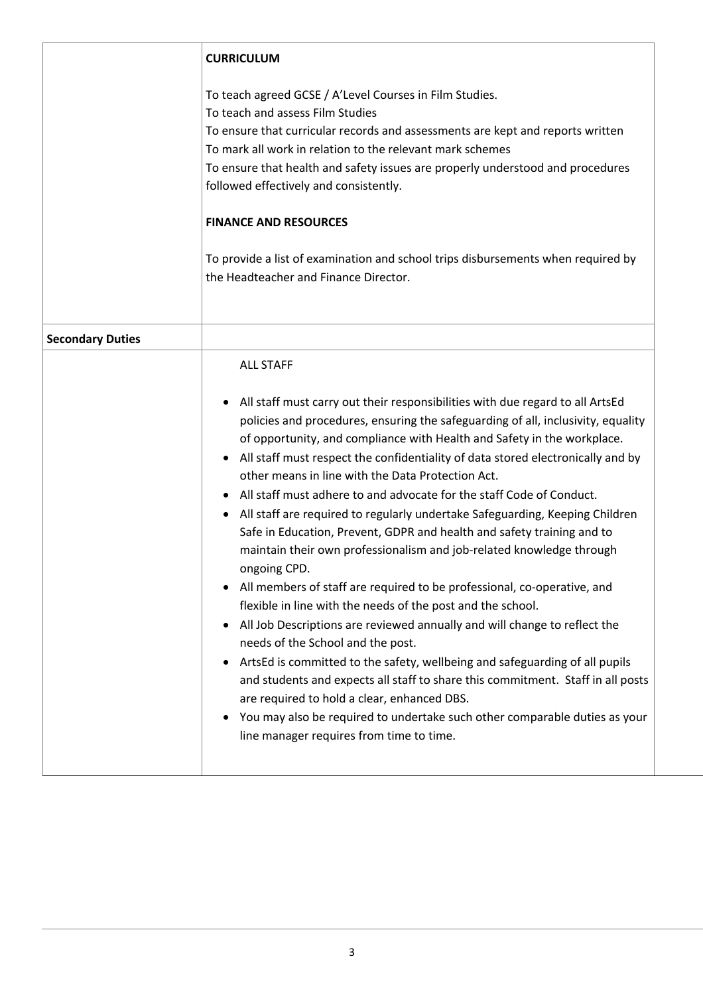|                         | <b>CURRICULUM</b>                                                                                                                                                                                                                                                                                                                                                                                                                                                                                                                                                                                                                                                                                                                                                                                                                                                                                                                                                                                                                                                                                                                                                                                                                                                                                                                                                                      |
|-------------------------|----------------------------------------------------------------------------------------------------------------------------------------------------------------------------------------------------------------------------------------------------------------------------------------------------------------------------------------------------------------------------------------------------------------------------------------------------------------------------------------------------------------------------------------------------------------------------------------------------------------------------------------------------------------------------------------------------------------------------------------------------------------------------------------------------------------------------------------------------------------------------------------------------------------------------------------------------------------------------------------------------------------------------------------------------------------------------------------------------------------------------------------------------------------------------------------------------------------------------------------------------------------------------------------------------------------------------------------------------------------------------------------|
|                         | To teach agreed GCSE / A'Level Courses in Film Studies.<br>To teach and assess Film Studies<br>To ensure that curricular records and assessments are kept and reports written<br>To mark all work in relation to the relevant mark schemes<br>To ensure that health and safety issues are properly understood and procedures<br>followed effectively and consistently.<br><b>FINANCE AND RESOURCES</b><br>To provide a list of examination and school trips disbursements when required by                                                                                                                                                                                                                                                                                                                                                                                                                                                                                                                                                                                                                                                                                                                                                                                                                                                                                             |
|                         | the Headteacher and Finance Director.                                                                                                                                                                                                                                                                                                                                                                                                                                                                                                                                                                                                                                                                                                                                                                                                                                                                                                                                                                                                                                                                                                                                                                                                                                                                                                                                                  |
| <b>Secondary Duties</b> |                                                                                                                                                                                                                                                                                                                                                                                                                                                                                                                                                                                                                                                                                                                                                                                                                                                                                                                                                                                                                                                                                                                                                                                                                                                                                                                                                                                        |
|                         | <b>ALL STAFF</b><br>All staff must carry out their responsibilities with due regard to all ArtsEd<br>٠<br>policies and procedures, ensuring the safeguarding of all, inclusivity, equality<br>of opportunity, and compliance with Health and Safety in the workplace.<br>All staff must respect the confidentiality of data stored electronically and by<br>٠<br>other means in line with the Data Protection Act.<br>All staff must adhere to and advocate for the staff Code of Conduct.<br>٠<br>All staff are required to regularly undertake Safeguarding, Keeping Children<br>$\bullet$<br>Safe in Education, Prevent, GDPR and health and safety training and to<br>maintain their own professionalism and job-related knowledge through<br>ongoing CPD.<br>• All members of staff are required to be professional, co-operative, and<br>flexible in line with the needs of the post and the school.<br>All Job Descriptions are reviewed annually and will change to reflect the<br>٠<br>needs of the School and the post.<br>ArtsEd is committed to the safety, wellbeing and safeguarding of all pupils<br>٠<br>and students and expects all staff to share this commitment. Staff in all posts<br>are required to hold a clear, enhanced DBS.<br>You may also be required to undertake such other comparable duties as your<br>٠<br>line manager requires from time to time. |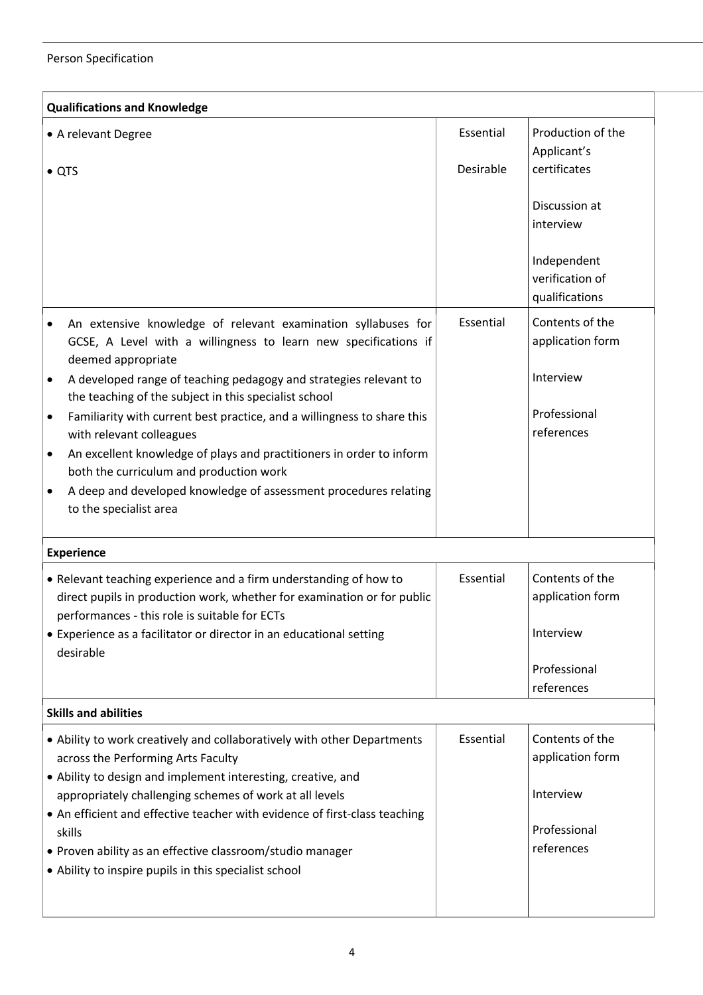## Person Specification

| <b>Qualifications and Knowledge</b>                                                                                                                                                                   |           |                                                  |  |  |  |
|-------------------------------------------------------------------------------------------------------------------------------------------------------------------------------------------------------|-----------|--------------------------------------------------|--|--|--|
| • A relevant Degree                                                                                                                                                                                   | Essential | Production of the<br>Applicant's                 |  |  |  |
| $\bullet$ QTS                                                                                                                                                                                         | Desirable | certificates                                     |  |  |  |
|                                                                                                                                                                                                       |           | Discussion at<br>interview                       |  |  |  |
|                                                                                                                                                                                                       |           | Independent<br>verification of<br>qualifications |  |  |  |
| An extensive knowledge of relevant examination syllabuses for<br>GCSE, A Level with a willingness to learn new specifications if<br>deemed appropriate                                                | Essential | Contents of the<br>application form              |  |  |  |
| A developed range of teaching pedagogy and strategies relevant to<br>the teaching of the subject in this specialist school                                                                            |           | Interview                                        |  |  |  |
| Familiarity with current best practice, and a willingness to share this<br>$\bullet$<br>with relevant colleagues                                                                                      |           | Professional<br>references                       |  |  |  |
| An excellent knowledge of plays and practitioners in order to inform<br>$\bullet$<br>both the curriculum and production work                                                                          |           |                                                  |  |  |  |
| A deep and developed knowledge of assessment procedures relating<br>to the specialist area                                                                                                            |           |                                                  |  |  |  |
| <b>Experience</b>                                                                                                                                                                                     |           |                                                  |  |  |  |
| • Relevant teaching experience and a firm understanding of how to<br>direct pupils in production work, whether for examination or for public<br>performances - this role is suitable for ECTs         | Essential | Contents of the<br>application form              |  |  |  |
| • Experience as a facilitator or director in an educational setting<br>desirable                                                                                                                      |           | Interview                                        |  |  |  |
|                                                                                                                                                                                                       |           | Professional<br>references                       |  |  |  |
| <b>Skills and abilities</b>                                                                                                                                                                           |           |                                                  |  |  |  |
| • Ability to work creatively and collaboratively with other Departments<br>across the Performing Arts Faculty                                                                                         | Essential | Contents of the<br>application form              |  |  |  |
| • Ability to design and implement interesting, creative, and<br>appropriately challenging schemes of work at all levels<br>• An efficient and effective teacher with evidence of first-class teaching |           | Interview                                        |  |  |  |
| skills<br>• Proven ability as an effective classroom/studio manager<br>• Ability to inspire pupils in this specialist school                                                                          |           | Professional<br>references                       |  |  |  |
|                                                                                                                                                                                                       |           |                                                  |  |  |  |